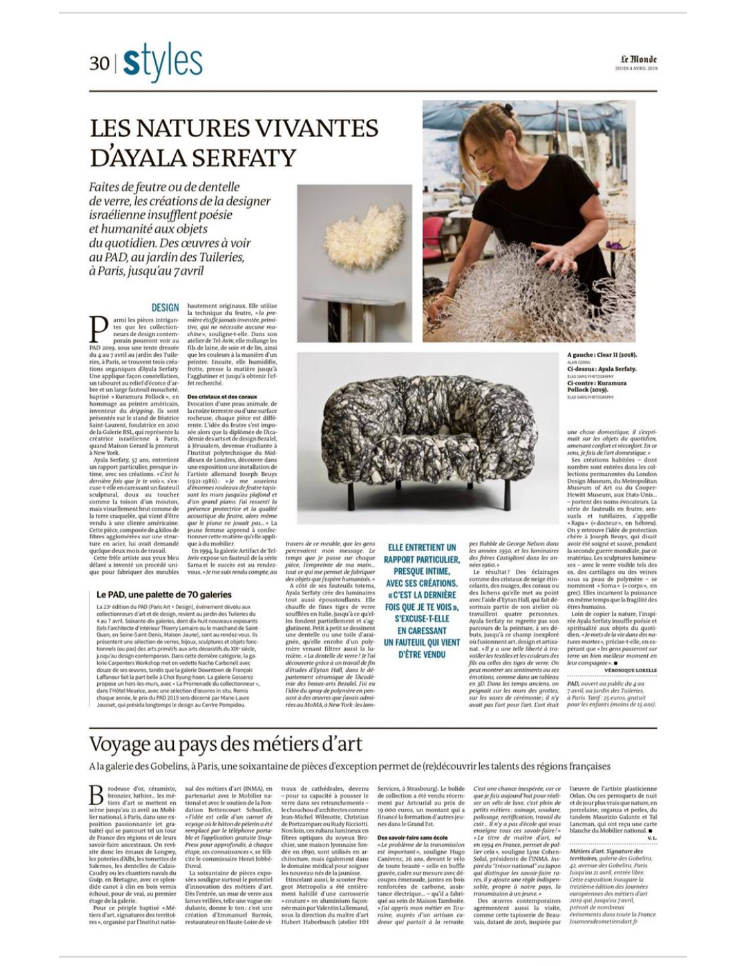

## **LES NATURES VIVANTES** D'AYALA SERFATY

Faites de feutre ou de dentelle de verre, les créations de la designer israélienne insufflent poésie et humanité aux objets du quotidien. Des œuvres à voir au PAD, au jardin des Tuileries, à Paris, jusqu'au 7 avril

### **DESIGN**

armi les pièces intriganarm les pieces antragaintes<br>
res que les collection-<br>
peurs de design contem-<br>
porain pourront voir au<br>
PAD 2019, sous une tente dressée<br>
du 4 au 7 avril au jardin des Tuileou a au 7 avril au paroi nou ar suite<br>ries, à Paris, se trouvent trois créa-<br>tions organiques d'Ayala Serfaty.<br>Une applique façon constellation,<br>un tabouret au relief d'écorce d'ar-<br>bre et un large fauteuil moucheté,<br>bapti superse « suramura rouoces, en<br>bommage au peintre américain,<br>inventeur du *dripping*. Ils sont<br>présentés sur le stand de Béatrice<br>Saint-Laurent, fondatrice en 2010<br>de la Galerice Isla, qui représente la<br>créatrice : israéli à New York.

Ayala Serfaty, 57 ans, entretient<br>un rapport particulier, presque in-<br>time, avec ses créations. « C'est la dernière fois que je te vois», s'ex-<br>cuse-t-elle en caressant un fauteuil cuse-t-ene en caressant un nauteun<br>sculptural, doux au toucher<br>comme la toison d'un mouton,<br>mais visuellement brut comme de<br>la terre craquelée, qui vient d'être<br>vendu à une cliente américaine. vendu a une citente americane.<br>Cette pièce, composée de Akilos de<br>fibres agglomérées sur une struc-<br>ture en acier, lui avait demandé<br>quelque deux mois de travail.<br>Cette frée artiste aux yeux blu<br>décalituré n'est artiste au

délavé a inventé un procédé uni-<br>que pour fabriquer des meubles

### Le PAD, une palette de 70 galeries

La 23<sup>e</sup> édition du PAD (Paris Art + Design), événement dévolu aux La 2r entono no vivo trans Art + Usegon, evenement oevou aux<br>collectionneurs d'art et de design, revient au jardin des Tuileries du<br>4 au 7 avril. Soixante du galeries, dont dix-huit nouveaux exposants<br>tels l'architecte d'i tionnels (ou pas) des arts primitifs aux arts décoratifs du XIX<sup>e</sup> siècle, tionnes (su pas) oes arts primitius aux arts oecoration ou Avi-siecie, la ga-<br>jusqu'au design contemporain. Dans cette demière catégorie, la ga-<br>lerie Carpenters Workshop met en vedette Nacho Carbonell avec<br>douze de ses ou dans l'Hôtel Meurice, avec une sélection d'œuvres in situ. Remis chaque année, le prix du PAD 2019 sera décerné par Marie-Laure<br>Jourset, qui présida longtemps le design au Centre Pompidou.

hautement originaux. Elle utilise la technique du feutre, « la pre-<br>mière étoffe jamais inventée, primimiere eforgle jamais inventee, primi-<br>trive, qui ne nécessite aucune module a souligne-t-elle. Dans som atteier de Tel-Aviv, elle molange les<br>atteier de Tel-Aviv, elle molange les<br>fils de laine, de soie et de lin, ainsi<br>q

### Des cristaux et des coraux

**Des cristaux et des coraux**<br>
Evocation d'une peau animale, de<br>
la croûte terrestre ou d'une surface<br>
rocheuse, chaque pièce est diffé-<br>
rente. L'idée du feutre s'est impos-<br>
sée alors que la diplômée de l'Aca-<br>
démis des à Jérusalem, devenue étudiante à l'Institut polytechnique du Mid-<br>dlesex de Londres, découvre dans<br>une exposition une installation de<br>l'artiste allemand Joseph Beuys (1921-1986): « Je me souviens<br>d'énormes rouleaux de feutre tapis d'inomes rouleaux de feute tapis:<br>sant les nuns jusqu'au pladond et d'un grand piano. J'ai ressenti la<br>présence protectrice et la qualité<br>accoustique du feutre, alors même que le piano ne joudit pas, « La<br>pue le pues pian

vous. « le me suis rendu compte, au

travers de ce meuble, que les gens<br>percevaient mon message. Le<br>temps que je passe sur chaque pièce, l'empreinte de ma main...<br>
tout ce qui me premet de fabriquer<br>
cout ce qui me premet de fabriquer<br>
A côté de ses fauteuils totens,<br>
A avala Serfaty crée des luminaires<br>
Ayala Serfaty crée des luminaires<br>
tout ususi pièce, l'empreinte de ma main. mière. « La dentelle de verre ? Je l'ai mere = ta aentene ae verrer perar<br>découverte grâce à un travail de fin<br>d'études d'Eytan Hall, dans le dé-<br>partement céramique de l'Acadé-<br>mie des beaux-arts Bezalel. J'ai cu l'idée du spray de polymère en pensant à des œuvres que j'avais admi-<br>rées au MoMA, à New York : les lam-

**ELLE ENTRETIENT UN RAPPORT PARTICULIER. PRESQUE INTIME, AVEC SES CRÉATIONS.** « C'EST LA DERNIÈRE FOIS OUE JE TE VOIS ». **S'EXCUSE-T-ELLE EN CARESSANT** UN FAUTEUIL QUI VIENT

**D'ÊTRE VENDU** 

pes Bubble de George Nelson dans<br>les années 1950, et les luminaires<br>des frères Castiglioni dans les annees 1960.» résultat? Des éclairages

comme des cristaux de neige étin-<br>celants, des nuages, des coraux ou<br>des lichens qu'elle met au point<br>avec l'aide d'Eytan Hall, qui fait déavec a ano a syan rang quant are<br>somais partie de son atelier où<br>travaillent quatre personnes.<br>Ayala Serfaty ne regrette pas son<br>parcours de la peinture, à ses dé-<br>buts, jusqu'à ce champ inexploré<br>où fusionnent art, design nat. «Il y a une telle liberté à travailler les textiles et les couleurs des valler les textiles et les couleurs des<br>fils ou celles des tiges de verre. On<br>peut montrer ses sentiments ou ses<br>émotions, comme dans un tableau<br>en 3D. Dans les temps anciens, on<br>peignait sur les murs des grottes. peignait sur les murs acs y<br>sur les vases de cérémonie ; il n'y<br>car les vases de cérémonie ; il n'y avait pas l'art pour l'art. L'art été

une chose domestique, il s'expri-<br>mait sur les objets du quotidien,<br>amenant confort et réconfort. En ce sens, je fais de l'art domestique.» sers, peus de tart aont santées – dont<br>nombre sont entrées dans les collections permanentes du London<br>Design Museum, du Metropolitan

Museum of Art ou du Cooper-Museum of Art ou du Cooper-<br>
Hewitt Museum, aux Etats-Unis.<br>
-- portent des noms évocateurs. La<br>
série de fauteuis en feuteurs, en<br>
série de fauteurs en hebreul.<br>
9 Rapa » («docteur», en hébreul.<br>
On y retrouve l'idée de ses - avec le verre visible tels des ses – avec le verre visible tels des<br>os, des cartilages ou des veines<br>sous sa peau de polymère – se<br>nomment «Soma» («corps», en<br>grec). Elles incarnent la puissance<br>en même temps que la fragilité des êtres humains.

A gauche: Clear II (2018)

Ci-dessus : Avala Serfaty. Ci-contre : Kuramura<br>Pollock (2019).

étres humains.<br>
L'on de copier la nature, l'inspiniere dyala Serfaty insuffle poésie et<br>
spinitualité aux objets du quoti-<br>
dén. « le mest de la vie dans des natures mortes de la vie dans des natures<br>
présent que « les ge leur compagnie ». .

PAD, ouvert au public du 4 au 7 avril, au jardin des Tuileries. à Paris. Tarif : 25 euros, gratuit<br>pour les enfants (moins de 15 ans).

## Voyage au pays des métiers d'art

A la galerie des Gobelins, à Paris, une soixantaine de pièces d'exception permet de (re)découvrir les talents des régions françaises

rodeuse d'or, céramiste,<br>bronzier, luthier... les mé-<br>tiers d'art se mettent en В scène jusqu'au 21 avril au Mobilier national, à Paris, dans une exposition passionnante (et gra-<br>position passionnante (et grae de Frigons et de leurs<br>cuite) qui se parcourt tel un tour de France des régions et de leurs<br>sivoir-faire ancestraux. On revi lier national, à Paris, dans une exéchoué, pour de vrai, au premier

étage de la galerie.<br>Pour ce périple baptisé « Métiers d'art, signatures des territoires », organisé par l'Institut natio-

nal des métiers d'art (INMA), en<br>partenariat avec le Mobilier national et avec le soutien de la Fondation Bettencourt Schueller,<br>«l'idée est celle d'un carnet de = l'idee est celle d'un carnet de<br>voyage où le bàton de pèlerin dété<br>remplacé par le téléphone porta-<br>ble et l'application gratuite Snap-<br>Press pour approfondir, à chaque<br>étape, ses connaissances », se félicite le commissaire Henri Jobbé-Duval

La soixantaine de pièces exposées<br>souligne surtout le potentiel<br>d'innovation des métiers d'art. Dès l'entrée, un mur de verre aux lames vrillées, telle une vague on-<br>dulante, donne le ton : c'est une<br>création d'Emmanuel Barrois,<br>restaurateur en Haute-Loire de vi $\begin{tabular}{ll} \textbf{traux} & \textbf{de} & \textbf{cathédrales, devenu} \\ -\textbf{pour sa capacité à pousser le} \\ \textbf{verre dans ses returnchements} - \end{tabular}$ le chouchou d'architectes comme Jean-Michel Wilmotte, Christian Jean-Michel Wilmotte, Christian<br>de Portzamparcou Rudy Ricciotti.<br>Non loin, ces rubans lumineux en<br>fibres optiques du soyeux Bro-<br>chier, une maison lyonnaise fon-<br>dée en 1890, sont utilisés en ar-

dee en 1890, sont utilises en ar<br>chitecture, mais également dans<br>le domaine médical pour soigner<br>les nouveau-nés de la jaunisse.<br>Etincelant aussi, le scooter Peu-<br>geot Metropolis a été entièrement habillé d'une carrosserie e couture » en aluminium façon-<br>née main par Valentin Lallemand,<br>sous la direction du maître d'art<br>Hubert Haberbusch (atelier HH

Services, à Strasbourg). Le bolide<br>de collection a été vendu récemment par Artcurial au prix de 19 000 euros, un montant qui a financé la formation d'autres jeu nes dans le Grand Est

**Des savoir-faire sans école**<br> *s.Le problème de la transmission*<br>
est *important s*, souligne Hugo<br>
Canivenc, 26 ans, devant le vélo<br>
de toute beauté – selle en buffle<br>
gravée, cadre sur mesure avec dé-<br>
coupes émeraude, renoverse de diagnose de la antique de la antique de Maison Tamboite.<br> *ne la appris mon métier en Tou-<br>
raine, auprès d'un artistre en Tou-<br>
dreur qui partait à la retraite.* 

C'est une chance inespérée, car ce<br>que je fais aujourd'hui pour réali-<br>ser un vélo de luxe, c'est plein de ser un vélo de luxe, c'est plein de politisanéires :<br>tisményes politisanéires :<br>politisanée, rectification, travail du<br>cuir... Il n'y a pas décole qui vous<br>exempte cus ces savoir-faire !<br> $\ast$  le titre de maître d'art, né<br>

Des œuvres contemporaines<br>agrémentent aussi la visite,<br>comme cette tapisserie de Beauvais,<br>datant de 2016, inspirée par

l'œuvre de l'artiste plasticienne<br>Orlan. Ou ces perroquets de nuit<br>et de jour plus vrais que nature, en porcelaine, organza et perles, du tandem Maurizio Galante et Tal Lancman, qui ont reçu une carte<br>blanche du Mobilier national.

Métiers d'art. Signature des territoires, galerie des Gobelins,<br>42, avenue des Gobelins, Paris. 42, avenue aes Goberns, raris<br>Jusqu'au 21 avril, entrée libre.<br>Cette exposition inaugure la<br>treizième édition des Journées européennes des métiers d'art<br>2019 qui, jusqu'au 7 avril, prévoit de nombreux événements dans toute la France.<br>Journeesdesmetiersdart.fr

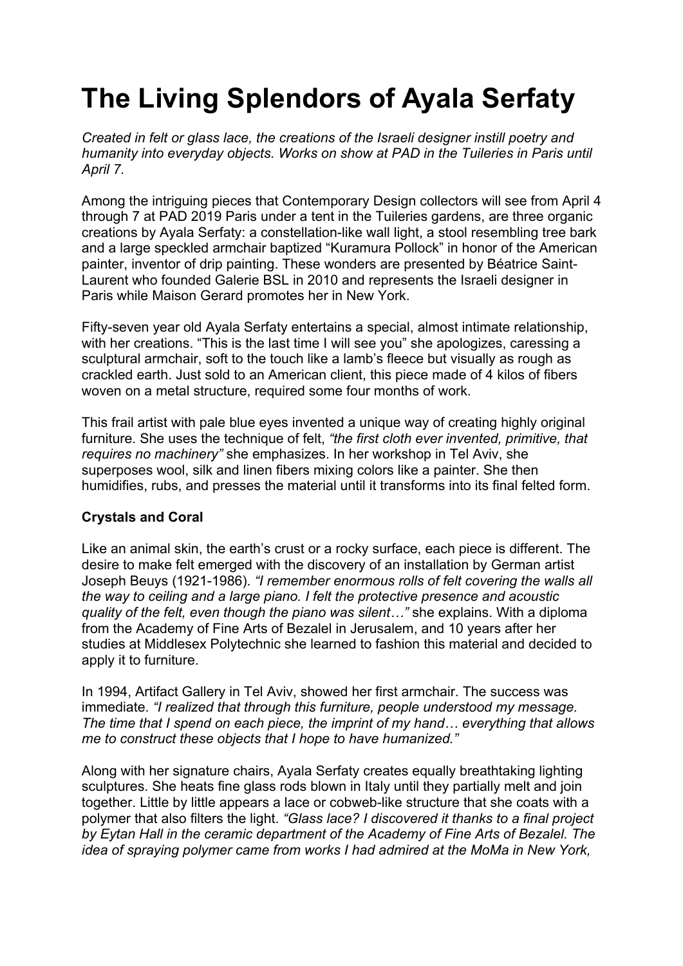# **The Living Splendors of Ayala Serfaty**

*Created in felt or glass lace, the creations of the Israeli designer instill poetry and humanity into everyday objects. Works on show at PAD in the Tuileries in Paris until April 7.*

Among the intriguing pieces that Contemporary Design collectors will see from April 4 through 7 at PAD 2019 Paris under a tent in the Tuileries gardens, are three organic creations by Ayala Serfaty: a constellation-like wall light, a stool resembling tree bark and a large speckled armchair baptized "Kuramura Pollock" in honor of the American painter, inventor of drip painting. These wonders are presented by Béatrice Saint-Laurent who founded Galerie BSL in 2010 and represents the Israeli designer in Paris while Maison Gerard promotes her in New York.

Fifty-seven year old Ayala Serfaty entertains a special, almost intimate relationship, with her creations. "This is the last time I will see you" she apologizes, caressing a sculptural armchair, soft to the touch like a lamb's fleece but visually as rough as crackled earth. Just sold to an American client, this piece made of 4 kilos of fibers woven on a metal structure, required some four months of work.

This frail artist with pale blue eyes invented a unique way of creating highly original furniture. She uses the technique of felt, *"the first cloth ever invented, primitive, that requires no machinery"* she emphasizes. In her workshop in Tel Aviv, she superposes wool, silk and linen fibers mixing colors like a painter. She then humidifies, rubs, and presses the material until it transforms into its final felted form.

## **Crystals and Coral**

Like an animal skin, the earth's crust or a rocky surface, each piece is different. The desire to make felt emerged with the discovery of an installation by German artist Joseph Beuys (1921-1986). *"I remember enormous rolls of felt covering the walls all the way to ceiling and a large piano. I felt the protective presence and acoustic quality of the felt, even though the piano was silent…"* she explains. With a diploma from the Academy of Fine Arts of Bezalel in Jerusalem, and 10 years after her studies at Middlesex Polytechnic she learned to fashion this material and decided to apply it to furniture.

In 1994, Artifact Gallery in Tel Aviv, showed her first armchair. The success was immediate. *"I realized that through this furniture, people understood my message. The time that I spend on each piece, the imprint of my hand… everything that allows me to construct these objects that I hope to have humanized."*

Along with her signature chairs, Ayala Serfaty creates equally breathtaking lighting sculptures. She heats fine glass rods blown in Italy until they partially melt and join together. Little by little appears a lace or cobweb-like structure that she coats with a polymer that also filters the light. *"Glass lace? I discovered it thanks to a final project by Eytan Hall in the ceramic department of the Academy of Fine Arts of Bezalel. The idea of spraying polymer came from works I had admired at the MoMa in New York,*